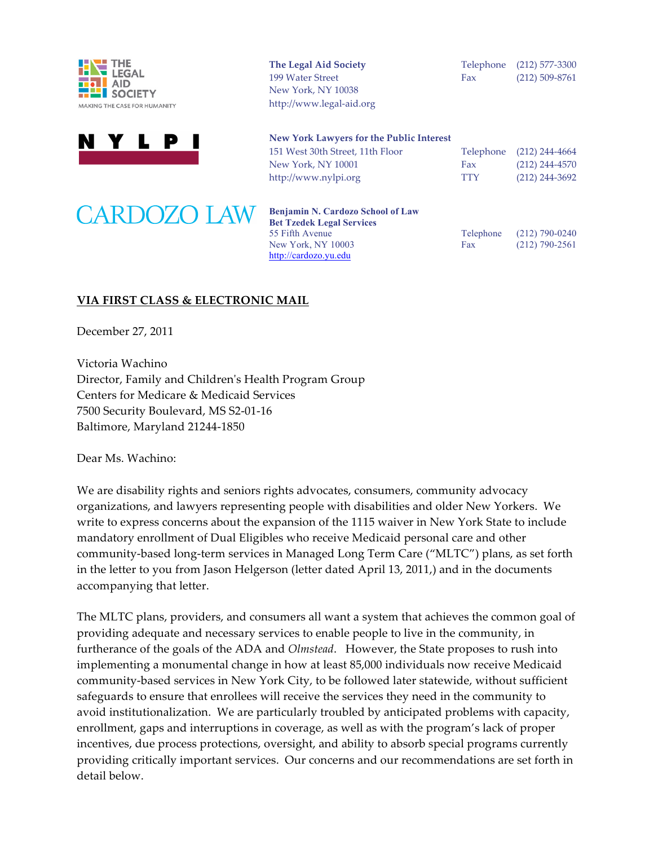





| The Legal Aid Society    |     | Telephone (212) 577-3300 |
|--------------------------|-----|--------------------------|
| 199 Water Street         | Fax | $(212)$ 509-8761         |
| New York, NY 10038       |     |                          |
| http://www.legal-aid.org |     |                          |

| New York Lawyers for the Public Interest |            |                          |
|------------------------------------------|------------|--------------------------|
| 151 West 30th Street, 11th Floor         |            | Telephone (212) 244-4664 |
| New York, NY 10001                       | Fax        | $(212)$ 244-4570         |
| http://www.nylpi.org                     | <b>TTY</b> | $(212)$ 244-3692         |
|                                          |            |                          |

| ) LAW | Benjamin N. Cardozo School of Law<br><b>Bet Tzedek Legal Services</b> |     |                          |
|-------|-----------------------------------------------------------------------|-----|--------------------------|
|       | 55 Fifth Avenue                                                       |     | Telephone (212) 790-0240 |
|       | New York, NY 10003                                                    | Fax | $(212)$ 790-2561         |
|       | http://cardozo.yu.edu                                                 |     |                          |

### VIA FIRST CLASS & ELECTRONIC MAIL

December 27, 2011

Victoria Wachino Director, Family and Children's Health Program Group Centers for Medicare & Medicaid Services 7500 Security Boulevard, MS S2-01-16 Baltimore, Maryland 21244-1850

Dear Ms. Wachino:

We are disability rights and seniors rights advocates, consumers, community advocacy organizations, and lawyers representing people with disabilities and older New Yorkers. We write to express concerns about the expansion of the 1115 waiver in New York State to include mandatory enrollment of Dual Eligibles who receive Medicaid personal care and other community-based long-term services in Managed Long Term Care ("MLTC") plans, as set forth in the letter to you from Jason Helgerson (letter dated April 13, 2011,) and in the documents accompanying that letter.

The MLTC plans, providers, and consumers all want a system that achieves the common goal of providing adequate and necessary services to enable people to live in the community, in furtherance of the goals of the ADA and *Olmstead*. However, the State proposes to rush into implementing a monumental change in how at least 85,000 individuals now receive Medicaid community-based services in New York City, to be followed later statewide, without sufficient safeguards to ensure that enrollees will receive the services they need in the community to avoid institutionalization. We are particularly troubled by anticipated problems with capacity, enrollment, gaps and interruptions in coverage, as well as with the program's lack of proper incentives, due process protections, oversight, and ability to absorb special programs currently providing critically important services. Our concerns and our recommendations are set forth in detail below.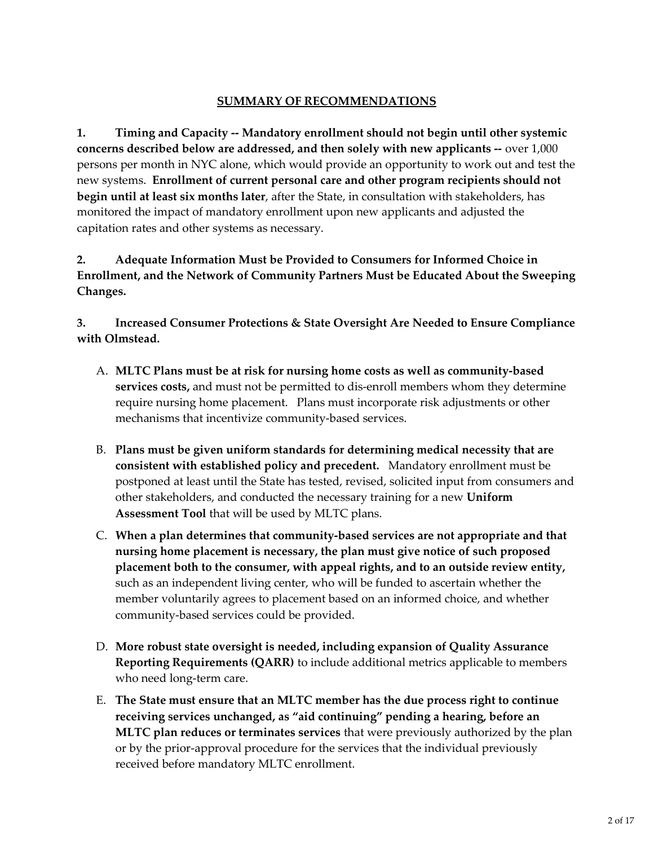### **SUMMARY OF RECOMMENDATIONS**

**1. Timing and Capacity -- Mandatory enrollment should not begin until other systemic concerns described below are addressed, and then solely with new applicants --** over 1,000 persons per month in NYC alone, which would provide an opportunity to work out and test the new systems. **Enrollment of current personal care and other program recipients should not begin until at least six months later**, after the State, in consultation with stakeholders, has monitored the impact of mandatory enrollment upon new applicants and adjusted the capitation rates and other systems as necessary.

**2. Adequate Information Must be Provided to Consumers for Informed Choice in Enrollment, and the Network of Community Partners Must be Educated About the Sweeping Changes.**

**3. Increased Consumer Protections & State Oversight Are Needed to Ensure Compliance with Olmstead.**

- A. **MLTC Plans must be at risk for nursing home costs as well as community-based services costs,** and must not be permitted to dis-enroll members whom they determine require nursing home placement. Plans must incorporate risk adjustments or other mechanisms that incentivize community-based services.
- B. **Plans must be given uniform standards for determining medical necessity that are consistent with established policy and precedent.** Mandatory enrollment must be postponed at least until the State has tested, revised, solicited input from consumers and other stakeholders, and conducted the necessary training for a new **Uniform Assessment Tool** that will be used by MLTC plans.
- C. **When a plan determines that community-based services are not appropriate and that nursing home placement is necessary, the plan must give notice of such proposed placement both to the consumer, with appeal rights, and to an outside review entity,** such as an independent living center, who will be funded to ascertain whether the member voluntarily agrees to placement based on an informed choice, and whether community-based services could be provided.
- D. **More robust state oversight is needed, including expansion of Quality Assurance Reporting Requirements (QARR)** to include additional metrics applicable to members who need long-term care.
- E. **The State must ensure that an MLTC member has the due process right to continue receiving services unchanged, as "aid continuing" pending a hearing, before an MLTC plan reduces or terminates services** that were previously authorized by the plan or by the prior-approval procedure for the services that the individual previously received before mandatory MLTC enrollment.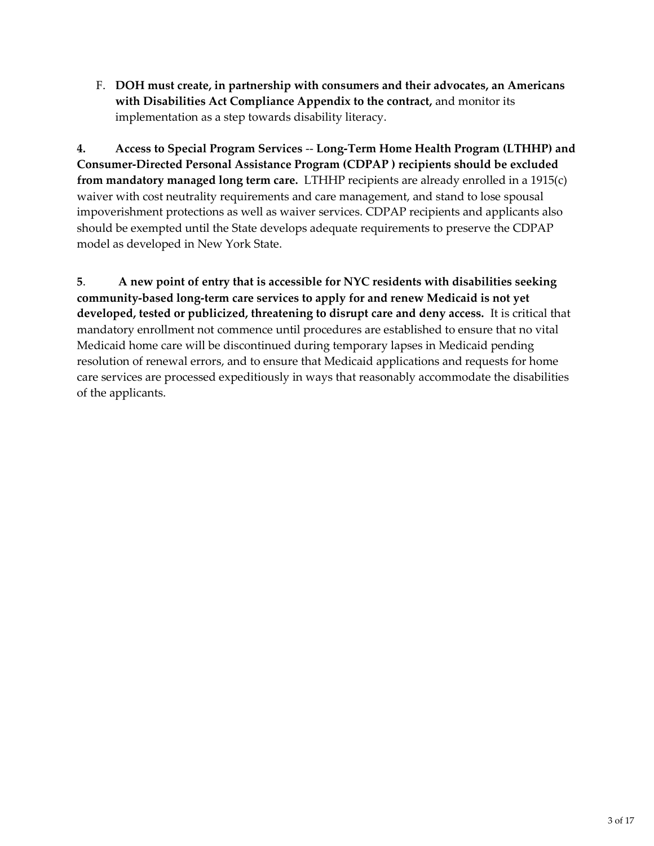F. **DOH must create, in partnership with consumers and their advocates, an Americans with Disabilities Act Compliance Appendix to the contract,** and monitor its implementation as a step towards disability literacy.

**4. Access to Special Program Services** -- **Long-Term Home Health Program (LTHHP) and Consumer-Directed Personal Assistance Program (CDPAP ) recipients should be excluded from mandatory managed long term care.** LTHHP recipients are already enrolled in a 1915(c) waiver with cost neutrality requirements and care management, and stand to lose spousal impoverishment protections as well as waiver services. CDPAP recipients and applicants also should be exempted until the State develops adequate requirements to preserve the CDPAP model as developed in New York State.

**5**. **A new point of entry that is accessible for NYC residents with disabilities seeking community-based long-term care services to apply for and renew Medicaid is not yet developed, tested or publicized, threatening to disrupt care and deny access.** It is critical that mandatory enrollment not commence until procedures are established to ensure that no vital Medicaid home care will be discontinued during temporary lapses in Medicaid pending resolution of renewal errors, and to ensure that Medicaid applications and requests for home care services are processed expeditiously in ways that reasonably accommodate the disabilities of the applicants.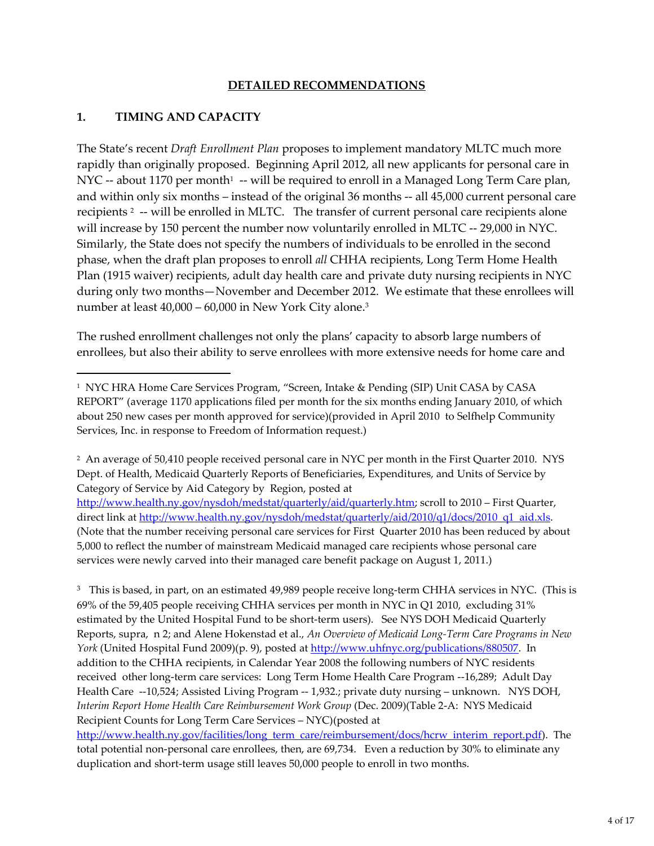### **DETAILED RECOMMENDATIONS**

### **1. TIMING AND CAPACITY**

The State's recent *Draft Enrollment Plan* proposes to implement mandatory MLTC much more rapidly than originally proposed. Beginning April 2012, all new applicants for personal care in NYC -- about 1170 per month $^{\scriptscriptstyle 1}$  -- will be required to enroll in a Managed Long Term Care plan, and within only six months – instead of the original 36 months -- all 45,000 current personal care recipients<sup>2</sup> -- will be enrolled in MLTC. The transfer of current personal care recipients alone will increase by 150 percent the number now voluntarily enrolled in MLTC -- 29,000 in NYC. Similarly, the State does not specify the numbers of individuals to be enrolled in the second phase, when the draft plan proposes to enroll *all* CHHA recipients, Long Term Home Health Plan (1915 waiver) recipients, adult day health care and private duty nursing recipients in NYC during only two months—November and December 2012. We estimate that these enrollees will number at least 40,000 – 60,000 in New York City alone.<sup>3</sup>

The rushed enrollment challenges not only the plans' capacity to absorb large numbers of enrollees, but also their ability to serve enrollees with more extensive needs for home care and

<sup>2</sup> An average of 50,410 people received personal care in NYC per month in the First Quarter 2010. NYS Dept. of Health, Medicaid Quarterly Reports of Beneficiaries, Expenditures, and Units of Service by Category of Service by Aid Category by Region, posted at

http://www.health.ny.gov/nysdoh/medstat/quarterly/aid/quarterly.htm; scroll to 2010 – First Quarter, direct link at http://www.health.ny.gov/nysdoh/medstat/quarterly/aid/2010/q1/docs/2010\_q1\_aid.xls. (Note that the number receiving personal care services for First Quarter 2010 has been reduced by about 5,000 to reflect the number of mainstream Medicaid managed care recipients whose personal care services were newly carved into their managed care benefit package on August 1, 2011.)

<sup>3</sup> This is based, in part, on an estimated 49,989 people receive long-term CHHA services in NYC. (This is 69% of the 59,405 people receiving CHHA services per month in NYC in Q1 2010, excluding 31% estimated by the United Hospital Fund to be short-term users). See NYS DOH Medicaid Quarterly Reports, supra, n 2; and Alene Hokenstad et al., *An Overview of Medicaid Long-Term Care Programs in New York* (United Hospital Fund 2009)(p. 9), posted at http://www.uhfnyc.org/publications/880507. In addition to the CHHA recipients, in Calendar Year 2008 the following numbers of NYC residents received other long-term care services: Long Term Home Health Care Program --16,289; Adult Day Health Care --10,524; Assisted Living Program -- 1,932.; private duty nursing – unknown. NYS DOH, *Interim Report Home Health Care Reimbursement Work Group* (Dec. 2009)(Table 2-A: NYS Medicaid Recipient Counts for Long Term Care Services – NYC)(posted at

http://www.health.ny.gov/facilities/long\_term\_care/reimbursement/docs/hcrw\_interim\_report.pdf). The total potential non-personal care enrollees, then, are 69,734. Even a reduction by 30% to eliminate any duplication and short-term usage still leaves 50,000 people to enroll in two months.

<sup>&</sup>lt;sup>1</sup> NYC HRA Home Care Services Program, "Screen, Intake & Pending (SIP) Unit CASA by CASA REPORT" (average 1170 applications filed per month for the six months ending January 2010, of which about 250 new cases per month approved for service)(provided in April 2010 to Selfhelp Community Services, Inc. in response to Freedom of Information request.)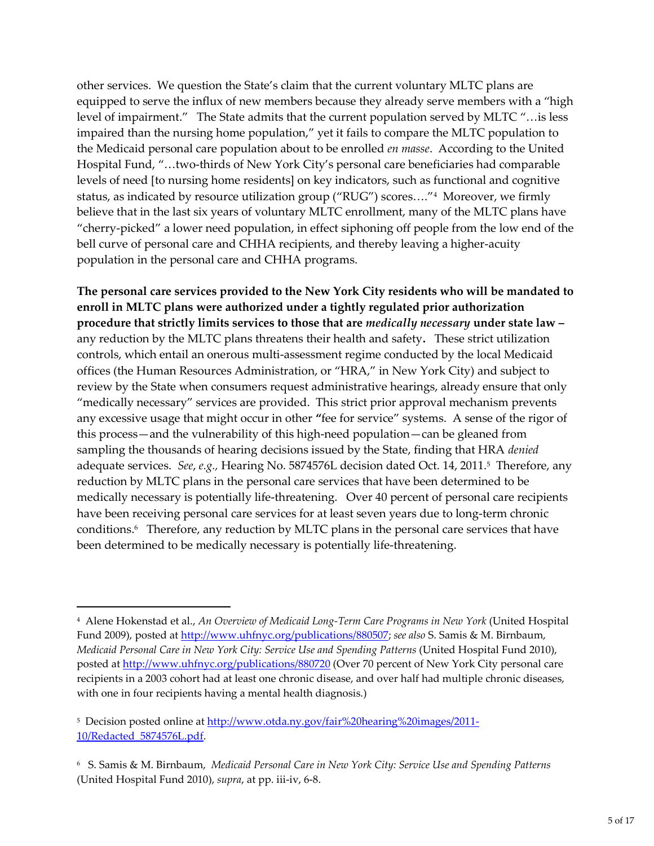other services. We question the State's claim that the current voluntary MLTC plans are equipped to serve the influx of new members because they already serve members with a "high level of impairment." The State admits that the current population served by MLTC "…is less impaired than the nursing home population," yet it fails to compare the MLTC population to the Medicaid personal care population about to be enrolled *en masse*. According to the United Hospital Fund, "…two-thirds of New York City's personal care beneficiaries had comparable levels of need [to nursing home residents] on key indicators, such as functional and cognitive status, as indicated by resource utilization group ("RUG") scores…."<sup>4</sup> Moreover, we firmly believe that in the last six years of voluntary MLTC enrollment, many of the MLTC plans have "cherry-picked" a lower need population, in effect siphoning off people from the low end of the bell curve of personal care and CHHA recipients, and thereby leaving a higher-acuity population in the personal care and CHHA programs.

**The personal care services provided to the New York City residents who will be mandated to enroll in MLTC plans were authorized under a tightly regulated prior authorization procedure that strictly limits services to those that are** *medically necessary* **under state law –** any reduction by the MLTC plans threatens their health and safety**.** These strict utilization controls, which entail an onerous multi-assessment regime conducted by the local Medicaid offices (the Human Resources Administration, or "HRA," in New York City) and subject to review by the State when consumers request administrative hearings, already ensure that only "medically necessary" services are provided. This strict prior approval mechanism prevents any excessive usage that might occur in other **"**fee for service" systems. A sense of the rigor of this process—and the vulnerability of this high-need population—can be gleaned from sampling the thousands of hearing decisions issued by the State, finding that HRA *denied* adequate services. *See*, *e.g.,* Hearing No. 5874576L decision dated Oct. 14, 2011.<sup>5</sup> Therefore, any reduction by MLTC plans in the personal care services that have been determined to be medically necessary is potentially life-threatening. Over 40 percent of personal care recipients have been receiving personal care services for at least seven years due to long-term chronic conditions.<sup>6</sup> Therefore, any reduction by MLTC plans in the personal care services that have been determined to be medically necessary is potentially life-threatening.

<sup>4</sup> Alene Hokenstad et al., *An Overview of Medicaid Long-Term Care Programs in New York* (United Hospital Fund 2009), posted at http://www.uhfnyc.org/publications/880507; *see also* S. Samis & M. Birnbaum, *Medicaid Personal Care in New York City: Service Use and Spending Patterns* (United Hospital Fund 2010), posted at http://www.uhfnyc.org/publications/880720 (Over 70 percent of New York City personal care recipients in a 2003 cohort had at least one chronic disease, and over half had multiple chronic diseases, with one in four recipients having a mental health diagnosis.)

<sup>&</sup>lt;sup>5</sup> Decision posted online at http://www.otda.ny.gov/fair%20hearing%20images/2011-10/Redacted\_5874576L.pdf.

<sup>6</sup> S. Samis & M. Birnbaum, *Medicaid Personal Care in New York City: Service Use and Spending Patterns* (United Hospital Fund 2010), *supra*, at pp. iii-iv, 6-8.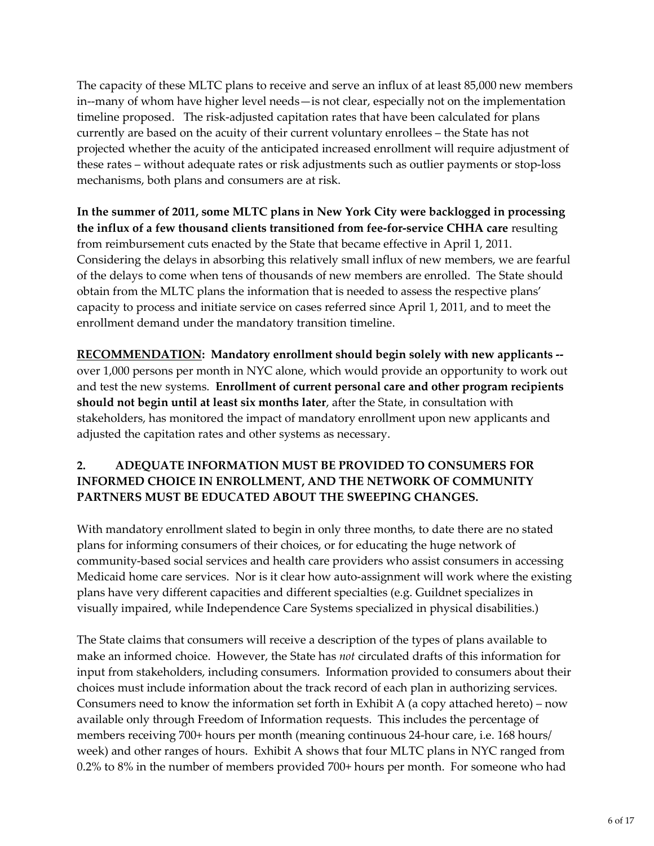The capacity of these MLTC plans to receive and serve an influx of at least 85,000 new members in--many of whom have higher level needs—is not clear, especially not on the implementation timeline proposed. The risk-adjusted capitation rates that have been calculated for plans currently are based on the acuity of their current voluntary enrollees – the State has not projected whether the acuity of the anticipated increased enrollment will require adjustment of these rates – without adequate rates or risk adjustments such as outlier payments or stop-loss mechanisms, both plans and consumers are at risk.

**In the summer of 2011, some MLTC plans in New York City were backlogged in processing the influx of a few thousand clients transitioned from fee-for-service CHHA care** resulting from reimbursement cuts enacted by the State that became effective in April 1, 2011. Considering the delays in absorbing this relatively small influx of new members, we are fearful of the delays to come when tens of thousands of new members are enrolled. The State should obtain from the MLTC plans the information that is needed to assess the respective plans' capacity to process and initiate service on cases referred since April 1, 2011, and to meet the enrollment demand under the mandatory transition timeline.

**RECOMMENDATION: Mandatory enrollment should begin solely with new applicants -** over 1,000 persons per month in NYC alone, which would provide an opportunity to work out and test the new systems. **Enrollment of current personal care and other program recipients should not begin until at least six months later**, after the State, in consultation with stakeholders, has monitored the impact of mandatory enrollment upon new applicants and adjusted the capitation rates and other systems as necessary.

### **2. ADEQUATE INFORMATION MUST BE PROVIDED TO CONSUMERS FOR INFORMED CHOICE IN ENROLLMENT, AND THE NETWORK OF COMMUNITY PARTNERS MUST BE EDUCATED ABOUT THE SWEEPING CHANGES.**

With mandatory enrollment slated to begin in only three months, to date there are no stated plans for informing consumers of their choices, or for educating the huge network of community-based social services and health care providers who assist consumers in accessing Medicaid home care services. Nor is it clear how auto-assignment will work where the existing plans have very different capacities and different specialties (e.g. Guildnet specializes in visually impaired, while Independence Care Systems specialized in physical disabilities.)

The State claims that consumers will receive a description of the types of plans available to make an informed choice. However, the State has *not* circulated drafts of this information for input from stakeholders, including consumers. Information provided to consumers about their choices must include information about the track record of each plan in authorizing services. Consumers need to know the information set forth in Exhibit A (a copy attached hereto) – now available only through Freedom of Information requests. This includes the percentage of members receiving 700+ hours per month (meaning continuous 24-hour care, i.e. 168 hours/ week) and other ranges of hours. Exhibit A shows that four MLTC plans in NYC ranged from 0.2% to 8% in the number of members provided 700+ hours per month. For someone who had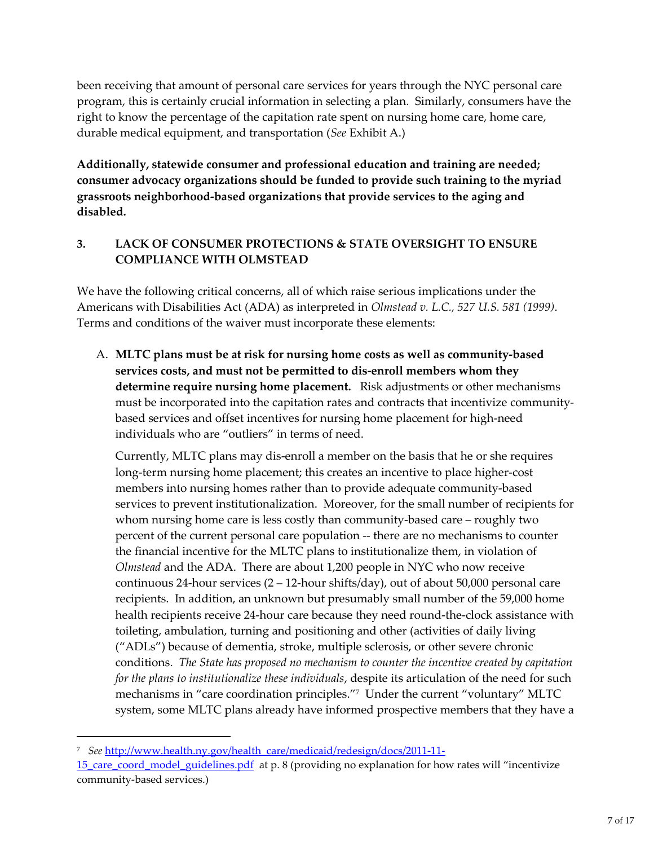been receiving that amount of personal care services for years through the NYC personal care program, this is certainly crucial information in selecting a plan. Similarly, consumers have the right to know the percentage of the capitation rate spent on nursing home care, home care, durable medical equipment, and transportation (*See* Exhibit A.)

**Additionally, statewide consumer and professional education and training are needed; consumer advocacy organizations should be funded to provide such training to the myriad grassroots neighborhood-based organizations that provide services to the aging and disabled.**

# **3. LACK OF CONSUMER PROTECTIONS & STATE OVERSIGHT TO ENSURE COMPLIANCE WITH OLMSTEAD**

We have the following critical concerns, all of which raise serious implications under the Americans with Disabilities Act (ADA) as interpreted in *Olmstead v. L.C., 527 U.S. 581 (1999)*. Terms and conditions of the waiver must incorporate these elements:

A. **MLTC plans must be at risk for nursing home costs as well as community-based services costs, and must not be permitted to dis-enroll members whom they determine require nursing home placement.** Risk adjustments or other mechanisms must be incorporated into the capitation rates and contracts that incentivize communitybased services and offset incentives for nursing home placement for high-need individuals who are "outliers" in terms of need.

Currently, MLTC plans may dis-enroll a member on the basis that he or she requires long-term nursing home placement; this creates an incentive to place higher-cost members into nursing homes rather than to provide adequate community-based services to prevent institutionalization. Moreover, for the small number of recipients for whom nursing home care is less costly than community-based care – roughly two percent of the current personal care population -- there are no mechanisms to counter the financial incentive for the MLTC plans to institutionalize them, in violation of *Olmstead* and the ADA. There are about 1,200 people in NYC who now receive continuous 24-hour services (2 – 12-hour shifts/day), out of about 50,000 personal care recipients. In addition, an unknown but presumably small number of the 59,000 home health recipients receive 24-hour care because they need round-the-clock assistance with toileting, ambulation, turning and positioning and other (activities of daily living ("ADLs") because of dementia, stroke, multiple sclerosis, or other severe chronic conditions. *The State has proposed no mechanism to counter the incentive created by capitation for the plans to institutionalize these individuals*, despite its articulation of the need for such mechanisms in "care coordination principles."<sup>7</sup> Under the current "voluntary" MLTC system, some MLTC plans already have informed prospective members that they have a

<sup>7</sup> *See* http://www.health.ny.gov/health\_care/medicaid/redesign/docs/2011-11-

<sup>15</sup> care coord model guidelines.pdf at p. 8 (providing no explanation for how rates will "incentivize community-based services.)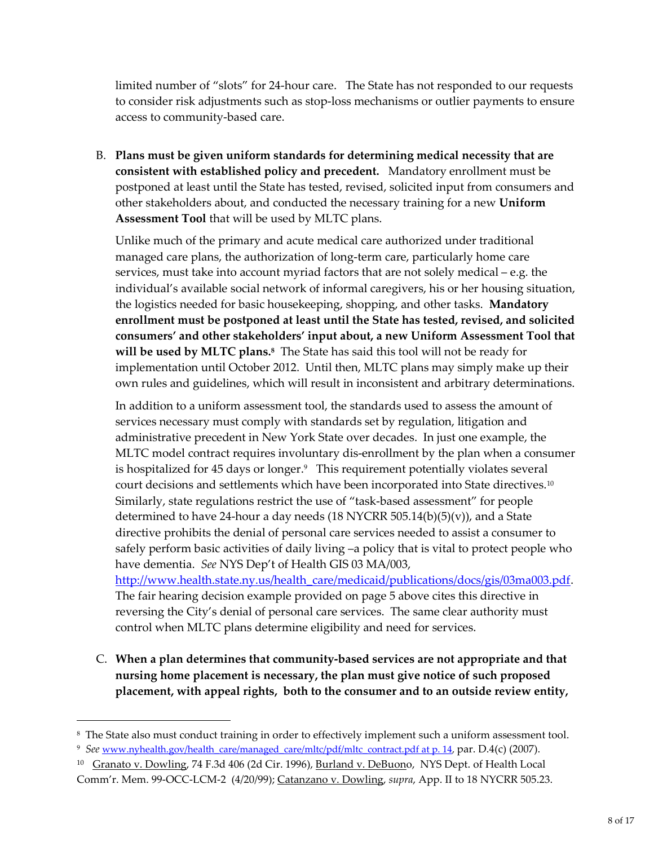limited number of "slots" for 24-hour care. The State has not responded to our requests to consider risk adjustments such as stop-loss mechanisms or outlier payments to ensure access to community-based care.

B. **Plans must be given uniform standards for determining medical necessity that are consistent with established policy and precedent.** Mandatory enrollment must be postponed at least until the State has tested, revised, solicited input from consumers and other stakeholders about, and conducted the necessary training for a new **Uniform Assessment Tool** that will be used by MLTC plans.

Unlike much of the primary and acute medical care authorized under traditional managed care plans, the authorization of long-term care, particularly home care services, must take into account myriad factors that are not solely medical – e.g. the individual's available social network of informal caregivers, his or her housing situation, the logistics needed for basic housekeeping, shopping, and other tasks. **Mandatory enrollment must be postponed at least until the State has tested, revised, and solicited consumers' and other stakeholders' input about, a new Uniform Assessment Tool that will be used by MLTC plans.<sup>8</sup>** The State has said this tool will not be ready for implementation until October 2012. Until then, MLTC plans may simply make up their own rules and guidelines, which will result in inconsistent and arbitrary determinations.

In addition to a uniform assessment tool, the standards used to assess the amount of services necessary must comply with standards set by regulation, litigation and administrative precedent in New York State over decades. In just one example, the MLTC model contract requires involuntary dis-enrollment by the plan when a consumer is hospitalized for 45 days or longer.<sup>9</sup> This requirement potentially violates several court decisions and settlements which have been incorporated into State directives.<sup>10</sup> Similarly, state regulations restrict the use of "task-based assessment" for people determined to have 24-hour a day needs  $(18 \text{ NYCRR } 505.14(b)(5)(v))$ , and a State directive prohibits the denial of personal care services needed to assist a consumer to safely perform basic activities of daily living –a policy that is vital to protect people who have dementia. *See* NYS Dep't of Health GIS 03 MA/003, http://www.health.state.ny.us/health\_care/medicaid/publications/docs/gis/03ma003.pdf. The fair hearing decision example provided on page 5 above cites this directive in reversing the City's denial of personal care services. The same clear authority must control when MLTC plans determine eligibility and need for services.

C. **When a plan determines that community-based services are not appropriate and that nursing home placement is necessary, the plan must give notice of such proposed placement, with appeal rights, both to the consumer and to an outside review entity,**

<sup>&</sup>lt;sup>8</sup> The State also must conduct training in order to effectively implement such a uniform assessment tool.

<sup>&</sup>lt;sup>9</sup> See www.nyhealth.gov/health\_care/managed\_care/mltc/pdf/mltc\_contract.pdf at p. 14, par. D.4(c) (2007).

<sup>&</sup>lt;sup>10</sup> Granato v. Dowling, 74 F.3d 406 (2d Cir. 1996), Burland v. DeBuono, NYS Dept. of Health Local Comm'r. Mem. 99-OCC-LCM-2 (4/20/99); Catanzano v. Dowling, *supra*, App. II to 18 NYCRR 505.23.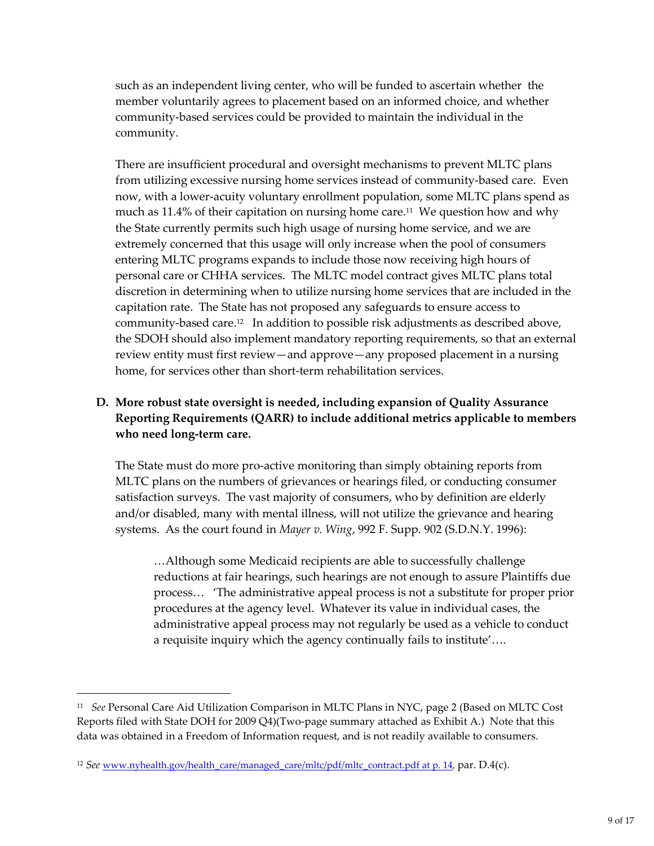such as an independent living center, who will be funded to ascertain whether the member voluntarily agrees to placement based on an informed choice, and whether community-based services could be provided to maintain the individual in the community.

There are insufficient procedural and oversight mechanisms to prevent MLTC plans from utilizing excessive nursing home services instead of community-based care. Even now, with a lower-acuity voluntary enrollment population, some MLTC plans spend as much as  $11.4\%$  of their capitation on nursing home care.<sup>11</sup> We question how and why the State currently permits such high usage of nursing home service, and we are extremely concerned that this usage will only increase when the pool of consumers entering MLTC programs expands to include those now receiving high hours of personal care or CHHA services. The MLTC model contract gives MLTC plans total discretion in determining when to utilize nursing home services that are included in the capitation rate. The State has not proposed any safeguards to ensure access to community-based care.<sup>12</sup> In addition to possible risk adjustments as described above, the SDOH should also implement mandatory reporting requirements, so that an external review entity must first review—and approve—any proposed placement in a nursing home, for services other than short-term rehabilitation services.

### **D. More robust state oversight is needed, including expansion of Quality Assurance Reporting Requirements (QARR) to include additional metrics applicable to members who need long-term care.**

The State must do more pro-active monitoring than simply obtaining reports from MLTC plans on the numbers of grievances or hearings filed, or conducting consumer satisfaction surveys. The vast majority of consumers, who by definition are elderly and/or disabled, many with mental illness, will not utilize the grievance and hearing systems. As the court found in *Mayer v. Wing*, 992 F. Supp. 902 (S.D.N.Y. 1996):

…Although some Medicaid recipients are able to successfully challenge reductions at fair hearings, such hearings are not enough to assure Plaintiffs due process… 'The administrative appeal process is not a substitute for proper prior procedures at the agency level. Whatever its value in individual cases, the administrative appeal process may not regularly be used as a vehicle to conduct a requisite inquiry which the agency continually fails to institute'….

<sup>11</sup> *See* Personal Care Aid Utilization Comparison in MLTC Plans in NYC, page 2 (Based on MLTC Cost Reports filed with State DOH for 2009 Q4)(Two-page summary attached as Exhibit A.) Note that this data was obtained in a Freedom of Information request, and is not readily available to consumers.

<sup>&</sup>lt;sup>12</sup> *See* www.nyhealth.gov/health\_care/managed\_care/mltc/pdf/mltc\_contract.pdf at p. 14, par. D.4(c).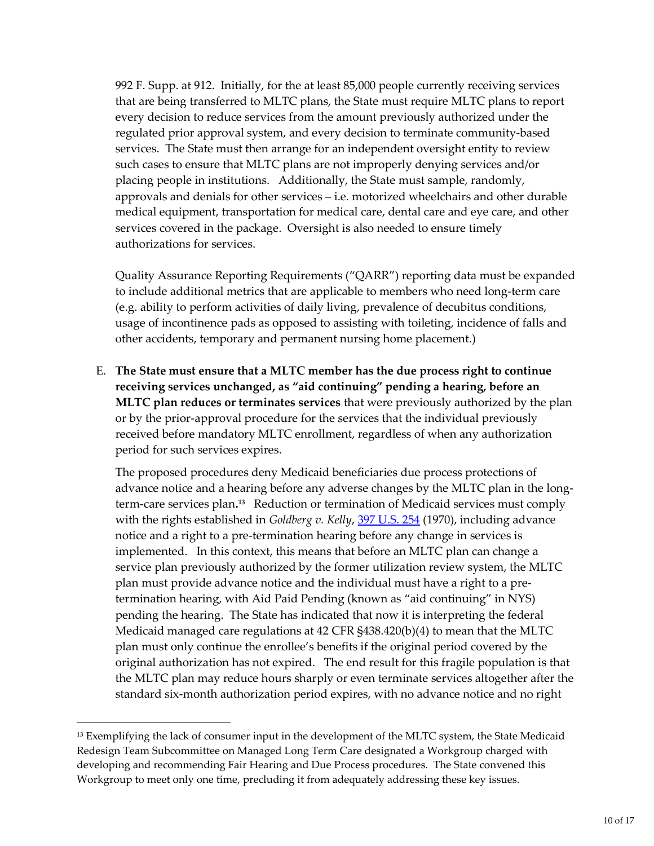992 F. Supp. at 912. Initially, for the at least 85,000 people currently receiving services that are being transferred to MLTC plans, the State must require MLTC plans to report every decision to reduce services from the amount previously authorized under the regulated prior approval system, and every decision to terminate community-based services. The State must then arrange for an independent oversight entity to review such cases to ensure that MLTC plans are not improperly denying services and/or placing people in institutions. Additionally, the State must sample, randomly, approvals and denials for other services – i.e. motorized wheelchairs and other durable medical equipment, transportation for medical care, dental care and eye care, and other services covered in the package. Oversight is also needed to ensure timely authorizations for services.

Quality Assurance Reporting Requirements ("QARR") reporting data must be expanded to include additional metrics that are applicable to members who need long-term care (e.g. ability to perform activities of daily living, prevalence of decubitus conditions, usage of incontinence pads as opposed to assisting with toileting, incidence of falls and other accidents, temporary and permanent nursing home placement.)

E. **The State must ensure that a MLTC member has the due process right to continue receiving services unchanged, as "aid continuing" pending a hearing, before an MLTC plan reduces or terminates services** that were previously authorized by the plan or by the prior-approval procedure for the services that the individual previously received before mandatory MLTC enrollment, regardless of when any authorization period for such services expires.

The proposed procedures deny Medicaid beneficiaries due process protections of advance notice and a hearing before any adverse changes by the MLTC plan in the longterm-care services plan**. <sup>13</sup>** Reduction or termination of Medicaid services must comply with the rights established in *Goldberg v. Kelly*, 397 U.S. 254 (1970), including advance notice and a right to a pre-termination hearing before any change in services is implemented. In this context, this means that before an MLTC plan can change a service plan previously authorized by the former utilization review system, the MLTC plan must provide advance notice and the individual must have a right to a pretermination hearing, with Aid Paid Pending (known as "aid continuing" in NYS) pending the hearing. The State has indicated that now it is interpreting the federal Medicaid managed care regulations at 42 CFR §438.420(b)(4) to mean that the MLTC plan must only continue the enrollee's benefits if the original period covered by the original authorization has not expired. The end result for this fragile population is that the MLTC plan may reduce hours sharply or even terminate services altogether after the standard six-month authorization period expires, with no advance notice and no right

<sup>&</sup>lt;sup>13</sup> Exemplifying the lack of consumer input in the development of the MLTC system, the State Medicaid Redesign Team Subcommittee on Managed Long Term Care designated a Workgroup charged with developing and recommending Fair Hearing and Due Process procedures. The State convened this Workgroup to meet only one time, precluding it from adequately addressing these key issues.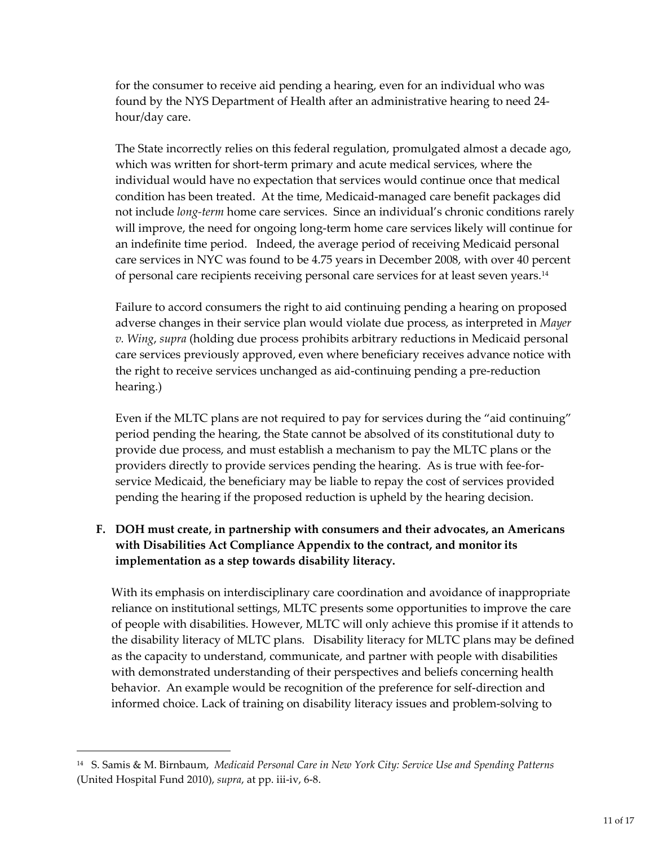for the consumer to receive aid pending a hearing, even for an individual who was found by the NYS Department of Health after an administrative hearing to need 24 hour/day care.

The State incorrectly relies on this federal regulation, promulgated almost a decade ago, which was written for short-term primary and acute medical services, where the individual would have no expectation that services would continue once that medical condition has been treated. At the time, Medicaid-managed care benefit packages did not include *long-term* home care services. Since an individual's chronic conditions rarely will improve, the need for ongoing long-term home care services likely will continue for an indefinite time period. Indeed, the average period of receiving Medicaid personal care services in NYC was found to be 4.75 years in December 2008, with over 40 percent of personal care recipients receiving personal care services for at least seven years.<sup>14</sup>

Failure to accord consumers the right to aid continuing pending a hearing on proposed adverse changes in their service plan would violate due process, as interpreted in *Mayer v. Wing*, *supra* (holding due process prohibits arbitrary reductions in Medicaid personal care services previously approved, even where beneficiary receives advance notice with the right to receive services unchanged as aid-continuing pending a pre-reduction hearing.)

Even if the MLTC plans are not required to pay for services during the "aid continuing" period pending the hearing, the State cannot be absolved of its constitutional duty to provide due process, and must establish a mechanism to pay the MLTC plans or the providers directly to provide services pending the hearing. As is true with fee-forservice Medicaid, the beneficiary may be liable to repay the cost of services provided pending the hearing if the proposed reduction is upheld by the hearing decision.

# **F. DOH must create, in partnership with consumers and their advocates, an Americans with Disabilities Act Compliance Appendix to the contract, and monitor its implementation as a step towards disability literacy.**

With its emphasis on interdisciplinary care coordination and avoidance of inappropriate reliance on institutional settings, MLTC presents some opportunities to improve the care of people with disabilities. However, MLTC will only achieve this promise if it attends to the disability literacy of MLTC plans. Disability literacy for MLTC plans may be defined as the capacity to understand, communicate, and partner with people with disabilities with demonstrated understanding of their perspectives and beliefs concerning health behavior. An example would be recognition of the preference for self-direction and informed choice. Lack of training on disability literacy issues and problem-solving to

<sup>14</sup> S. Samis & M. Birnbaum, *Medicaid Personal Care in New York City: Service Use and Spending Patterns* (United Hospital Fund 2010), *supra*, at pp. iii-iv, 6-8.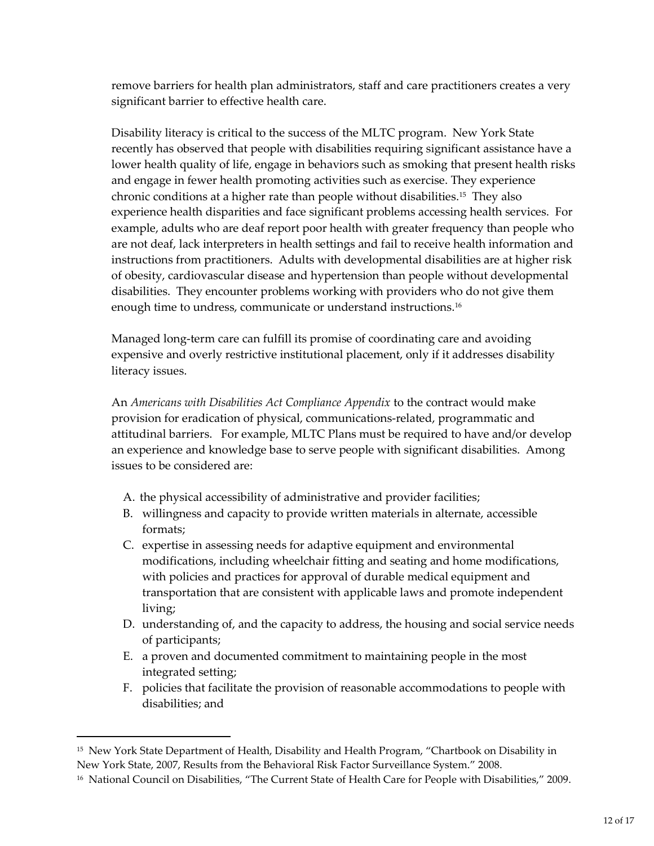remove barriers for health plan administrators, staff and care practitioners creates a very significant barrier to effective health care.

Disability literacy is critical to the success of the MLTC program. New York State recently has observed that people with disabilities requiring significant assistance have a lower health quality of life, engage in behaviors such as smoking that present health risks and engage in fewer health promoting activities such as exercise. They experience chronic conditions at a higher rate than people without disabilities.<sup>15</sup> They also experience health disparities and face significant problems accessing health services. For example, adults who are deaf report poor health with greater frequency than people who are not deaf, lack interpreters in health settings and fail to receive health information and instructions from practitioners. Adults with developmental disabilities are at higher risk of obesity, cardiovascular disease and hypertension than people without developmental disabilities. They encounter problems working with providers who do not give them enough time to undress, communicate or understand instructions.<sup>16</sup>

Managed long-term care can fulfill its promise of coordinating care and avoiding expensive and overly restrictive institutional placement, only if it addresses disability literacy issues.

An *Americans with Disabilities Act Compliance Appendix* to the contract would make provision for eradication of physical, communications-related, programmatic and attitudinal barriers. For example, MLTC Plans must be required to have and/or develop an experience and knowledge base to serve people with significant disabilities. Among issues to be considered are:

- A. the physical accessibility of administrative and provider facilities;
- B. willingness and capacity to provide written materials in alternate, accessible formats;
- C. expertise in assessing needs for adaptive equipment and environmental modifications, including wheelchair fitting and seating and home modifications, with policies and practices for approval of durable medical equipment and transportation that are consistent with applicable laws and promote independent living;
- D. understanding of, and the capacity to address, the housing and social service needs of participants;
- E. a proven and documented commitment to maintaining people in the most integrated setting;
- F. policies that facilitate the provision of reasonable accommodations to people with disabilities; and

<sup>&</sup>lt;sup>15</sup> New York State Department of Health, Disability and Health Program, "Chartbook on Disability in New York State, 2007, Results from the Behavioral Risk Factor Surveillance System." 2008.

<sup>&</sup>lt;sup>16</sup> National Council on Disabilities, "The Current State of Health Care for People with Disabilities," 2009.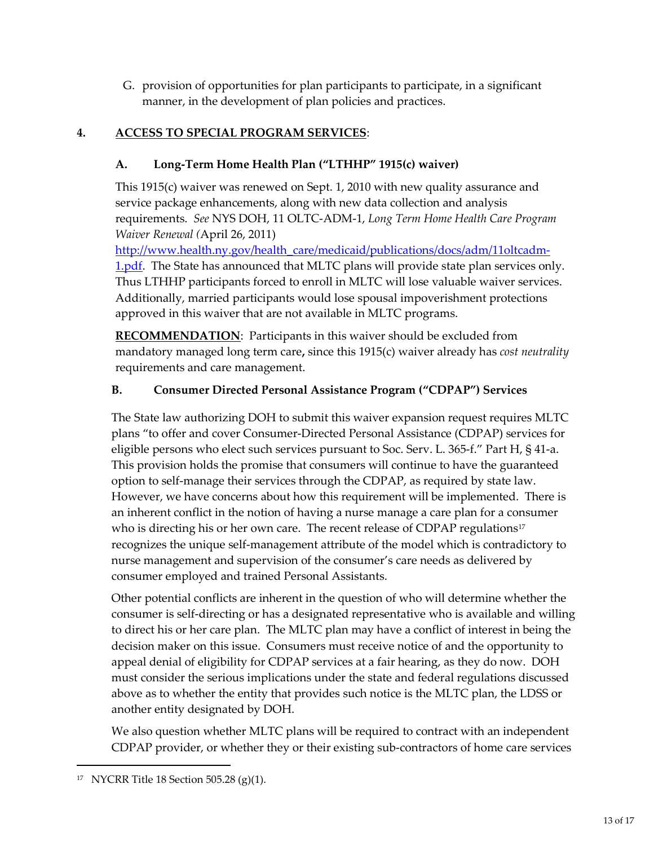G. provision of opportunities for plan participants to participate, in a significant manner, in the development of plan policies and practices.

# **4. ACCESS TO SPECIAL PROGRAM SERVICES**:

# **A. Long-Term Home Health Plan ("LTHHP" 1915(c) waiver)**

This 1915(c) waiver was renewed on Sept. 1, 2010 with new quality assurance and service package enhancements, along with new data collection and analysis requirements. *See* NYS DOH, 11 OLTC-ADM-1, *Long Term Home Health Care Program Waiver Renewal (*April 26, 2011)

http://www.health.ny.gov/health\_care/medicaid/publications/docs/adm/11oltcadm-1.pdf. The State has announced that MLTC plans will provide state plan services only. Thus LTHHP participants forced to enroll in MLTC will lose valuable waiver services. Additionally, married participants would lose spousal impoverishment protections approved in this waiver that are not available in MLTC programs.

**RECOMMENDATION**: Participants in this waiver should be excluded from mandatory managed long term care**,** since this 1915(c) waiver already has *cost neutrality* requirements and care management.

# **B. Consumer Directed Personal Assistance Program ("CDPAP") Services**

The State law authorizing DOH to submit this waiver expansion request requires MLTC plans "to offer and cover Consumer-Directed Personal Assistance (CDPAP) services for eligible persons who elect such services pursuant to Soc. Serv. L. 365-f." Part H, § 41-a. This provision holds the promise that consumers will continue to have the guaranteed option to self-manage their services through the CDPAP, as required by state law. However, we have concerns about how this requirement will be implemented. There is an inherent conflict in the notion of having a nurse manage a care plan for a consumer who is directing his or her own care. The recent release of CDPAP regulations<sup>17</sup> recognizes the unique self-management attribute of the model which is contradictory to nurse management and supervision of the consumer's care needs as delivered by consumer employed and trained Personal Assistants.

Other potential conflicts are inherent in the question of who will determine whether the consumer is self-directing or has a designated representative who is available and willing to direct his or her care plan. The MLTC plan may have a conflict of interest in being the decision maker on this issue. Consumers must receive notice of and the opportunity to appeal denial of eligibility for CDPAP services at a fair hearing, as they do now. DOH must consider the serious implications under the state and federal regulations discussed above as to whether the entity that provides such notice is the MLTC plan, the LDSS or another entity designated by DOH.

We also question whether MLTC plans will be required to contract with an independent CDPAP provider, or whether they or their existing sub-contractors of home care services

<sup>17</sup> NYCRR Title 18 Section 505.28 (g)(1).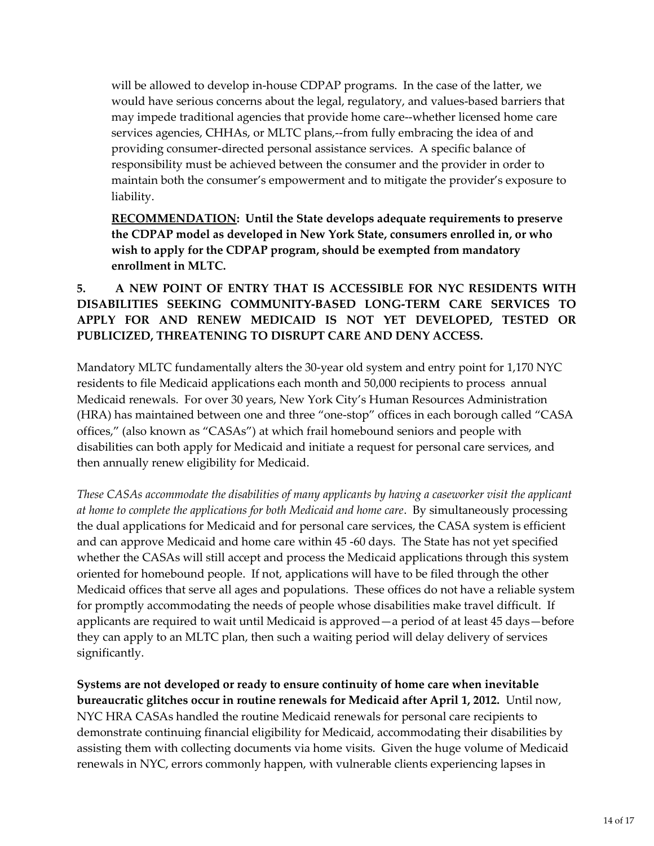will be allowed to develop in-house CDPAP programs. In the case of the latter, we would have serious concerns about the legal, regulatory, and values-based barriers that may impede traditional agencies that provide home care--whether licensed home care services agencies, CHHAs, or MLTC plans,--from fully embracing the idea of and providing consumer-directed personal assistance services. A specific balance of responsibility must be achieved between the consumer and the provider in order to maintain both the consumer's empowerment and to mitigate the provider's exposure to liability.

**RECOMMENDATION: Until the State develops adequate requirements to preserve the CDPAP model as developed in New York State, consumers enrolled in, or who wish to apply for the CDPAP program, should be exempted from mandatory enrollment in MLTC.**

### **5. A NEW POINT OF ENTRY THAT IS ACCESSIBLE FOR NYC RESIDENTS WITH DISABILITIES SEEKING COMMUNITY-BASED LONG-TERM CARE SERVICES TO APPLY FOR AND RENEW MEDICAID IS NOT YET DEVELOPED, TESTED OR PUBLICIZED, THREATENING TO DISRUPT CARE AND DENY ACCESS.**

Mandatory MLTC fundamentally alters the 30-year old system and entry point for 1,170 NYC residents to file Medicaid applications each month and 50,000 recipients to process annual Medicaid renewals. For over 30 years, New York City's Human Resources Administration (HRA) has maintained between one and three "one-stop" offices in each borough called "CASA offices," (also known as "CASAs") at which frail homebound seniors and people with disabilities can both apply for Medicaid and initiate a request for personal care services, and then annually renew eligibility for Medicaid.

*These CASAs accommodate the disabilities of many applicants by having a caseworker visit the applicant at home to complete the applications for both Medicaid and home care*. By simultaneously processing the dual applications for Medicaid and for personal care services, the CASA system is efficient and can approve Medicaid and home care within 45 -60 days. The State has not yet specified whether the CASAs will still accept and process the Medicaid applications through this system oriented for homebound people. If not, applications will have to be filed through the other Medicaid offices that serve all ages and populations. These offices do not have a reliable system for promptly accommodating the needs of people whose disabilities make travel difficult. If applicants are required to wait until Medicaid is approved—a period of at least 45 days—before they can apply to an MLTC plan, then such a waiting period will delay delivery of services significantly.

**Systems are not developed or ready to ensure continuity of home care when inevitable bureaucratic glitches occur in routine renewals for Medicaid after April 1, 2012.** Until now, NYC HRA CASAs handled the routine Medicaid renewals for personal care recipients to demonstrate continuing financial eligibility for Medicaid, accommodating their disabilities by assisting them with collecting documents via home visits. Given the huge volume of Medicaid renewals in NYC, errors commonly happen, with vulnerable clients experiencing lapses in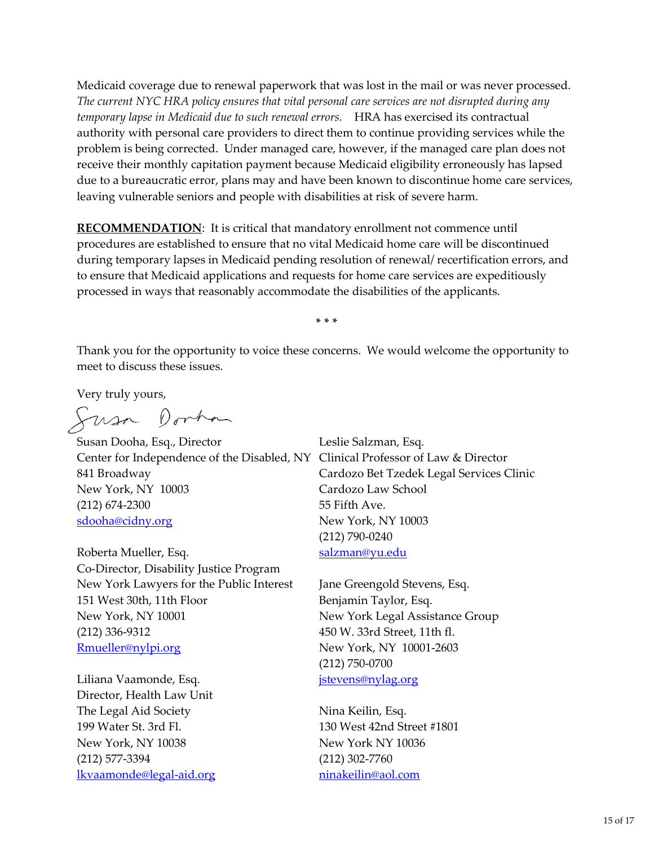Medicaid coverage due to renewal paperwork that was lost in the mail or was never processed. *The current NYC HRA policy ensures that vital personal care services are not disrupted during any temporary lapse in Medicaid due to such renewal errors.* HRA has exercised its contractual authority with personal care providers to direct them to continue providing services while the problem is being corrected. Under managed care, however, if the managed care plan does not receive their monthly capitation payment because Medicaid eligibility erroneously has lapsed due to a bureaucratic error, plans may and have been known to discontinue home care services, leaving vulnerable seniors and people with disabilities at risk of severe harm.

**RECOMMENDATION:** It is critical that mandatory enrollment not commence until procedures are established to ensure that no vital Medicaid home care will be discontinued during temporary lapses in Medicaid pending resolution of renewal/ recertification errors, and to ensure that Medicaid applications and requests for home care services are expeditiously processed in ways that reasonably accommodate the disabilities of the applicants.

**\* \* \***

Thank you for the opportunity to voice these concerns. We would welcome the opportunity to meet to discuss these issues.

Very truly yours,

Susa Dorhan

Susan Dooha, Esq., Director Center for Independence of the Disabled, NY Clinical Professor of Law & Director 841 Broadway New York, NY 10003 (212) 674-2300 sdooha@cidny.org

Roberta Mueller, Esq. Co-Director, Disability Justice Program New York Lawyers for the Public Interest 151 West 30th, 11th Floor New York, NY 10001 (212) 336-9312 Rmueller@nylpi.org

Liliana Vaamonde, Esq. Director, Health Law Unit The Legal Aid Society 199 Water St. 3rd Fl. New York, NY 10038 (212) 577-3394 lkvaamonde@legal-aid.org Leslie Salzman, Esq. Cardozo Bet Tzedek Legal Services Clinic Cardozo Law School 55 Fifth Ave. New York, NY 10003 (212) 790-0240 salzman@yu.edu

Jane Greengold Stevens, Esq. Benjamin Taylor, Esq. New York Legal Assistance Group 450 W. 33rd Street, 11th fl. New York, NY 10001-2603 (212) 750-0700 jstevens@nylag.org

Nina Keilin, Esq. 130 West 42nd Street #1801 New York NY 10036 (212) 302-7760 ninakeilin@aol.com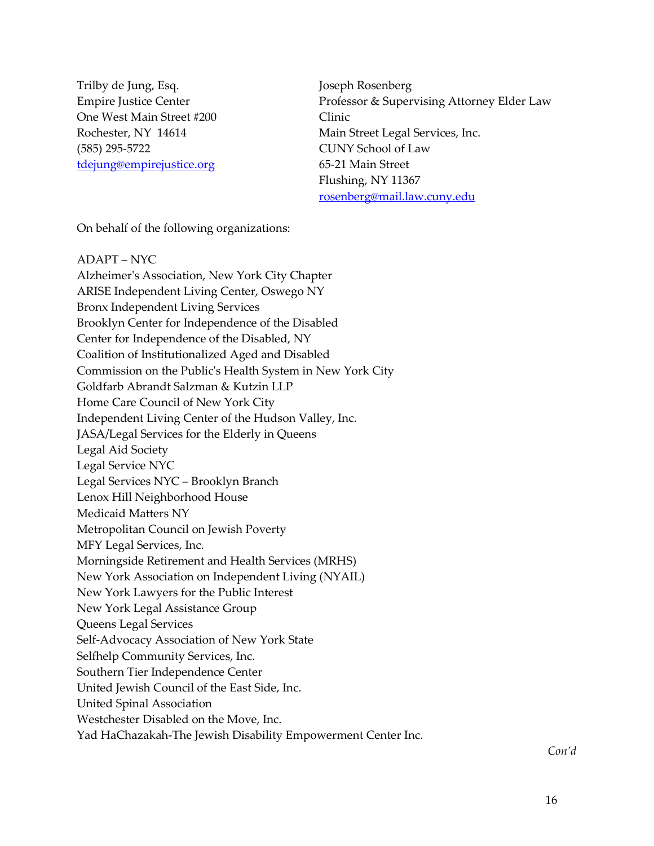Trilby de Jung, Esq. Empire Justice Center One West Main Street #200 Rochester, NY 14614 (585) 295-5722 tdejung@empirejustice.org

Joseph Rosenberg Professor & Supervising Attorney Elder Law Clinic Main Street Legal Services, Inc. CUNY School of Law 65-21 Main Street Flushing, NY 11367 rosenberg@mail.law.cuny.edu

On behalf of the following organizations:

ADAPT – NYC Alzheimer's Association, New York City Chapter ARISE Independent Living Center, Oswego NY Bronx Independent Living Services Brooklyn Center for Independence of the Disabled Center for Independence of the Disabled, NY Coalition of Institutionalized Aged and Disabled Commission on the Public's Health System in New York City Goldfarb Abrandt Salzman & Kutzin LLP Home Care Council of New York City Independent Living Center of the Hudson Valley, Inc. JASA/Legal Services for the Elderly in Queens Legal Aid Society Legal Service NYC Legal Services NYC – Brooklyn Branch Lenox Hill Neighborhood House Medicaid Matters NY Metropolitan Council on Jewish Poverty MFY Legal Services, Inc. Morningside Retirement and Health Services (MRHS) New York Association on Independent Living (NYAIL) New York Lawyers for the Public Interest New York Legal Assistance Group Queens Legal Services Self-Advocacy Association of New York State Selfhelp Community Services, Inc. Southern Tier Independence Center United Jewish Council of the East Side, Inc. United Spinal Association Westchester Disabled on the Move, Inc. Yad HaChazakah-The Jewish Disability Empowerment Center Inc.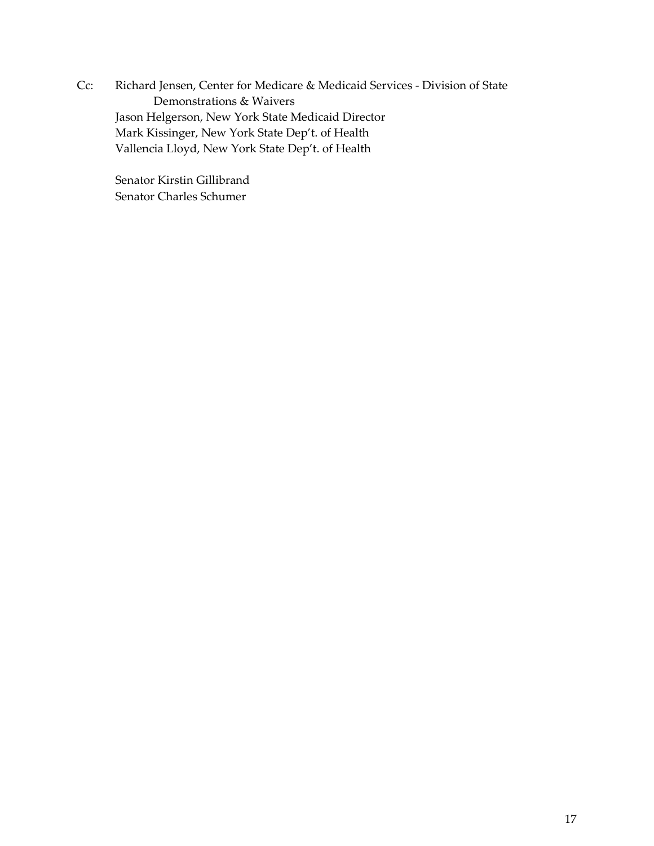Cc: Richard Jensen, Center for Medicare & Medicaid Services - Division of State Demonstrations & Waivers Jason Helgerson, New York State Medicaid Director Mark Kissinger, New York State Dep't. of Health Vallencia Lloyd, New York State Dep't. of Health

Senator Kirstin Gillibrand Senator Charles Schumer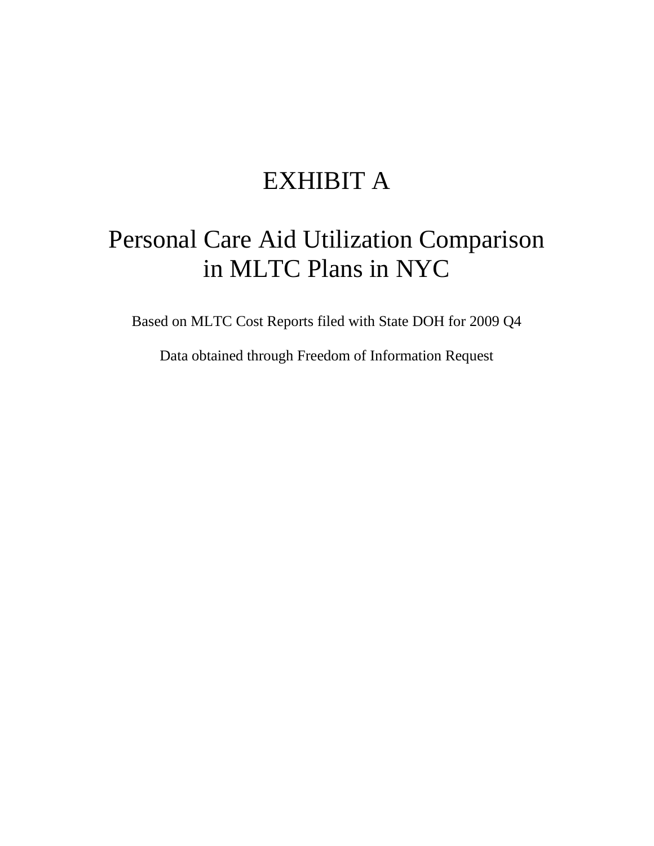# EXHIBIT A

# Personal Care Aid Utilization Comparison in MLTC Plans in NYC

Based on MLTC Cost Reports filed with State DOH for 2009 Q4

Data obtained through Freedom of Information Request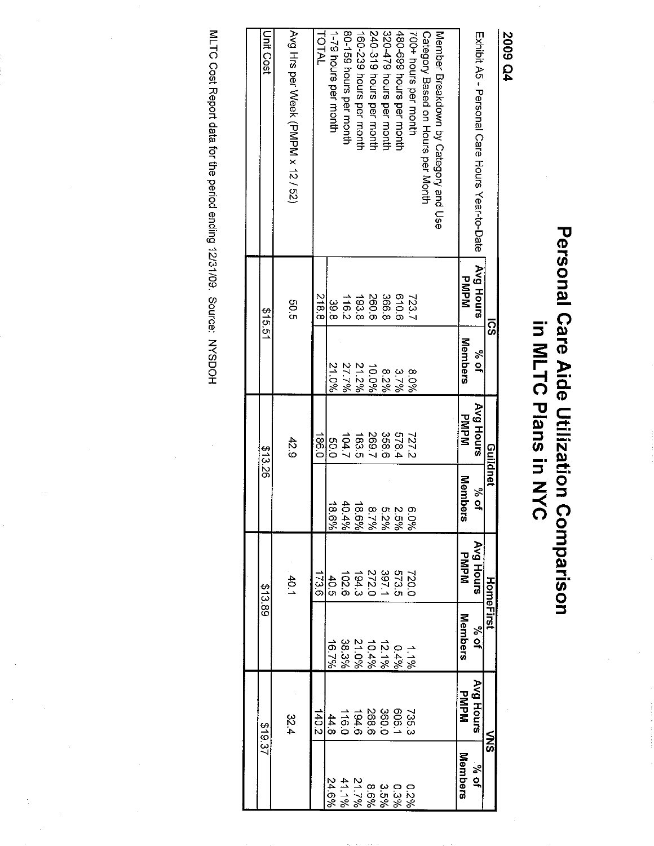# Personal Care Aide Utilization Comparison<br>in MLTC Plans in NYC

**2009 Q4** 

|                                               | ៊ូ               |         |             | Guildnet     | <b>HomeFirst</b>                           |                |             | ミの                             |
|-----------------------------------------------|------------------|---------|-------------|--------------|--------------------------------------------|----------------|-------------|--------------------------------|
| Exhibit A5 - Personal Care Hours Year-to-Date | <b>Avg Hours</b> | रू<br>प | Avg Hours   | %<br>م       | Avg Hours                                  | $\frac{26}{3}$ | Avg Hours   | 10%                            |
|                                               | マミャミ             | Members | <b>PMPM</b> | Memb<br>siad | <b>MdMd</b>                                | Members        | <b>DNPM</b> | <b>Members</b>                 |
| Member Breakdown by Category and Use          |                  |         |             |              |                                            |                |             |                                |
| Category Based on Hours per Month             |                  |         |             |              |                                            |                |             |                                |
| 700+ hours per month                          | 7237             | 8.0%    | 727.2       | 960.9        | 720.0                                      | 1.196          | 735.3       | 22%                            |
| 480-699 hours per month                       | 91019            | 3.7%    | 578.4       | 2.5%         |                                            | 0.4%           | 606.1       | 0.3%                           |
| 320-479 hours per month                       | 366.8            | 8.2%    | 358.6       | 5.2%         |                                            | 121%           | 360.0       |                                |
| 240-319 hours per month                       | 260.6            | 10.0%   | 269.7       | 8.7%         | 573.5<br>297.2.9.3.6<br>272.9.3.6<br>102.6 | 10.4%          | 268.6       | $3.5\%$<br>$8.5\%$<br>$21.7\%$ |
| 160-239 hours per month                       | 193.8            | 21.2%   | 183.5       | 18.6%        |                                            | 21.0%          |             |                                |
| 80-159 hours per month                        | 116.2            | 27.7%   | 104.7       | $404\%$      |                                            | 38.3%          | 194.6       | 41.1%                          |
| 1-79 hours per month                          | ပ္ပ<br>စ         | 21.0%   | 0.05        | 9,931        | 40.5                                       | 16.7%          | 44.8        | 24.6%                          |
| TOTAL                                         | $\frac{5}{8}$    |         | -86.0       |              | 173.6                                      |                | 140.2       |                                |
| AVQ Hrs per Veek (PNPM x 12 / 32)             | 0.50             |         | 42.9        |              | $-40.1$                                    |                | 22.4        |                                |
| Unit Cost                                     | \$15.51          |         | \$13.26     |              | 813.89                                     |                | 18.37       |                                |
|                                               |                  |         |             |              |                                            |                |             |                                |

MLTC Cost Report data for the period ending 12/31/09. Source: NYSDOH